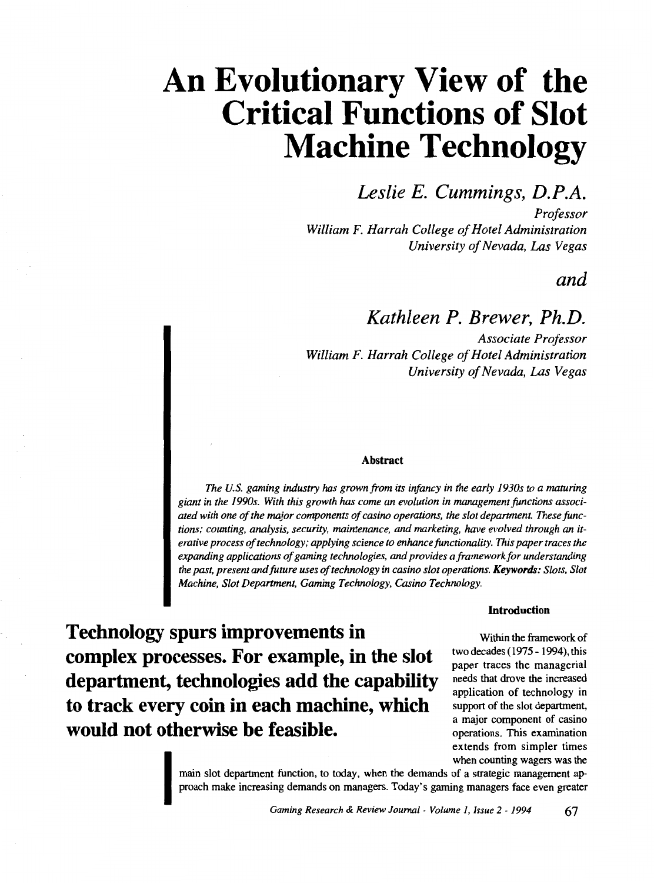## *Leslie E. Cummings, D.P.A.*

*Professor William F. Harrah College of Hotel Administration University of Nevada, Las Vegas* 

### *and*

## *Kathleen P. Brewer, Ph.D.*

*Associate Professor William F. Harrah College of Hotel Administration University of Nevada, Las Vegas* 

#### Abstract

*The U.S. gaming industry* has *grown from its infancy in the early 1930s to a maturing giant in the 1990s. With this growth* has *come an evolution in management functions associated with one of the major components of casino operations, the slot department. These functions; counting, analysis, security, maintenance, and marketing, have evolved through an iterative process of technology; applying science to enhance functionality. This paper traces the expanding applications of gaming technologies, and provides a framework for understanding the past, present and future uses of technology in casino slot operations. Keywords: Slots, Slot Machine, Slot Department, Gaming Technology, Casino Technology.* 

#### Introduction

**Technology spurs improvements in complex processes. For example, in the slot department, technologies add the capability to track every coin in each machine, which would not otherwise be feasible.** 

Within the framework of two decades (1975- 1994), this paper traces the managerial needs that drove the increased application of technology in support of the slot department, a major component of casino operations. This examination extends from simpler times when counting wagers was the

ma<br>pro main slot department function, to today, when the demands of a strategic management approach make increasing demands on managers. Today's gaming managers face even greater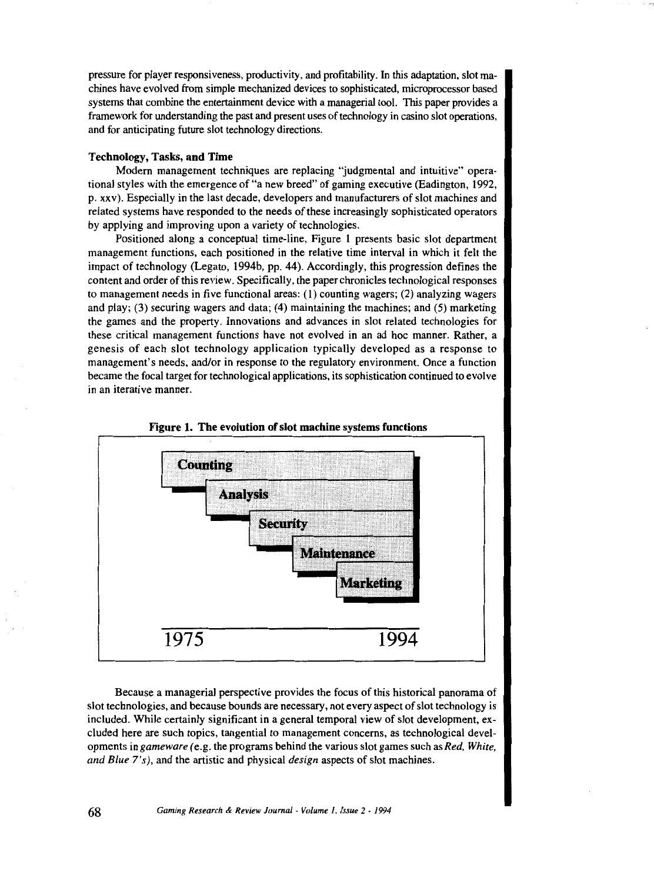pressure for player responsiveness, productivity, and profitability. In this adaptation, slot machines have evolved from simple mechanized devices to sophisticated, microprocessor based systems that combine the entertainment device with a managerial tool. This paper provides a framework for understanding the past and present uses of technology in casino slot operations, and for anticipating future slot technology directions.

#### Technology, Tasks, and Time

Modern management techniques are replacing "judgmental and intuitive" operational styles with the emergence of "a new breed" of gaming executive (Eadington, 1992, p. xxv). Especially in the last decade, developers and manufacturers of slot machines and related systems have responded to the needs of these increasingly sophisticated operators by applying and improving upon a variety of technologies.

Positioned along a conceptual time-line, Figure I presents basic slot department management functions, each positioned in the relative time interval in which it felt the impact of technology (Legato, 1994b, pp. 44). Accordingly, this progression defines the content and order of this review. Specifically, the paper chronicles technological responses to management needs in five functional areas: (1) counting wagers; (2) analyzing wagers and play; (3) securing wagers and data; (4) maintaining the machines; and (5) marketing the games and the property. Innovations and advances in slot related technologies for these critical management functions have not evolved in an ad hoc manner. Rather, a genesis of each slot technology application typically developed as a response to managemen<sup>t</sup>'s needs, and/or in response to the regulatory environment. Once a function became the focal target for technological applications, its sophistication continued to evolve in an iterative manner.





Because a managerial perspective provides the focus of this historical panorama of slot technologies, and because bounds are necessary, not every aspect of slot technology is included. While certainly significant in a general temporal view of slot development, excluded here are such topics, tangential to management concerns, as technological developments in *gameware (e.g.* the programs behind the various slot games such as *Red, White, and Blue 7's),* and the artistic and physical *design* aspects of slot machines.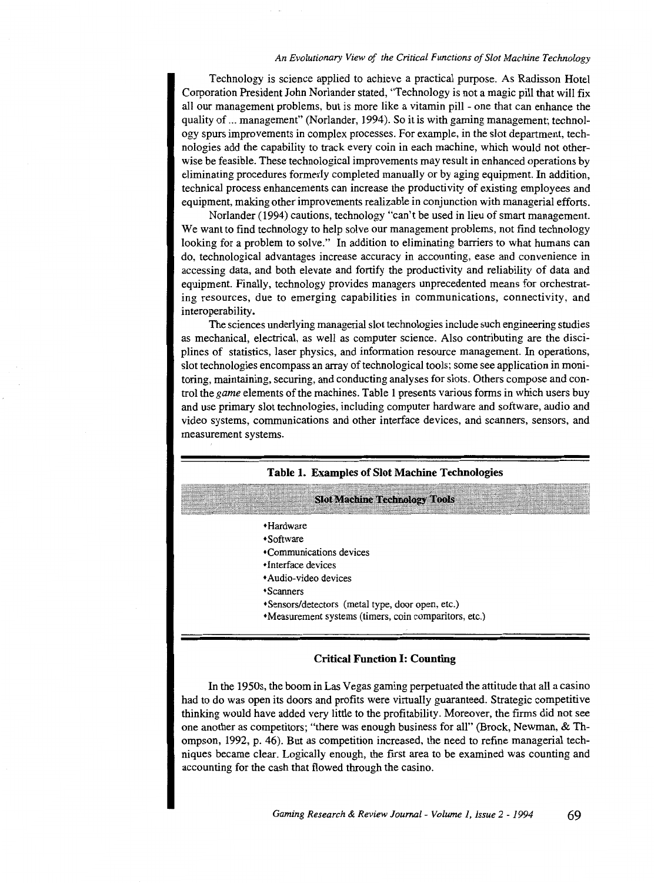Technology is science applied to achieve a practical purpose. As Radisson Hotel Corporation President John Norlander stated, "Technology is not a magic pill that will fix all our management problems, but is more like a vitamin pill - one that can enhance the quality of ... management" (Norlander, 1994). So it is with gaming management; technology spurs improvements in complex processes. For example, in the slot department, technologies add the capability to track every coin in each machine, which would not otherwise be feasible. These technological improvements may result in enhanced operations by eliminating procedures formerly completed manually or by aging equipment. In addition, technical process enhancements can increase the productivity of existing employees and equipment, making other improvements realizable in conjunction with managerial efforts.

Norlander (1994) cautions, technology "can't be used in lieu of smart management. We want to find technology to help solve our management problems, not find technology looking for a problem to solve." In addition to eliminating barriers to what humans can do, technological advantages increase accuracy in accounting, ease and convenience in accessing data, and both elevate and fortify the productivity and reliability of data and equipment. Finally, technology provides managers unprecedented means for orchestrating resources, due to emerging capabilities in communications, connectivity, and interoperability.

The sciences underlying managerial slot technologies include such engineering studies as mechanical, electrical, as well as computer science. Also contributing are the disciplines of statistics, laser physics, and information resource management. In operations, slot technologies encompass an array of technological tools; some see application in monitoring, maintaining, securing, and conducting analyses for slots. Others compose and control the *game* elements of the machines. Table 1 presents various forms in which users buy and use primary slot technologies, including computer hardware and software, audio and video systems, communications and other interface devices, and scanners, sensors, and measurement systems.

#### **Table 1. Examples of Slot Machine Technologies**

#### **Slot Machine Technology Tools**

- •Hardware
- •Software
- •Communications devices
- •Interface devices
- Audio-video devices
- •Scanners
- •Sensors/detectors (metal type, door open, etc.)
- •Measurement systems (timers, coin comparitors, etc.)

#### **Critical Function I: Counting**

In the 1950s, the boom in Las Vegas gaming perpetuated the attitude that all a casino had to do was open its doors and profits were virtually guaranteed. Strategic competitive thinking would have added very little to the profitability. Moreover, the firms did not see one another as competitors; "there was enough business for all" (Brock, Newman, & Thompson, 1992, p. 46). But as competition increased, the need to refine managerial techniques became clear. Logically enough, the first area to be examined was counting and accounting for the cash that flowed through the casino.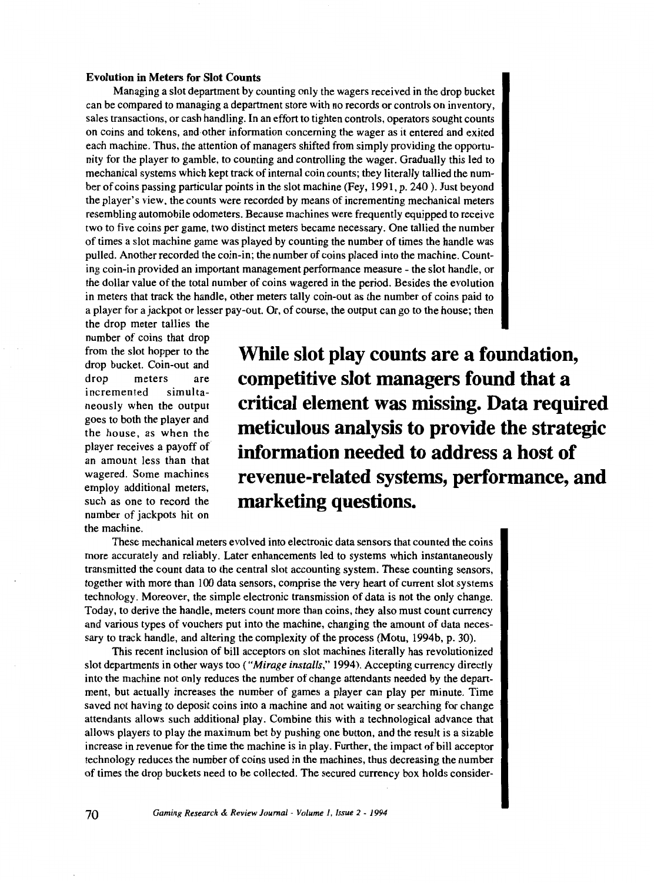#### **Evolution in Meters for Slot Counts**

Managing a slot department by counting only the wagers received in the drop bucket can be compared to managing a department store with no records or controls on inventory, sales transactions, or cash handling. In an effort to tighten controls, operators sought counts on coins and tokens, and other information concerning the wager as it entered and exited each machine. Thus, the attention of managers shifted from simply providing the opportunity for the player to gamble, to counting and controlling the wager. Gradually this led to mechanical systems which kept track of internal coin counts; they literally tallied the number of coins passing particular points in the slot machine (Fey, 1991, p. 240 ). Just beyond the player's view, the counts were recorded by means of incrementing mechanical meters resembling automobile odometers. Because machines were frequently equipped to receive two to five coins per game, two distinct meters became necessary. One tallied the number of times a slot machine game was played by counting the number of times the handle was pulled. Another recorded the coin-in; the number of coins placed into the machine. Counting coin-in provided an important management performance measure - the slot handle, or the dollar value of the total number of coins wagered in the period. Besides the evolution in meters that track the handle, other meters tally coin-out as the number of coins paid to a player for a jackpot or lesser pay-out. Or, of course, the output can go to the house; then

the drop meter tallies the number of coins that drop from the slot hopper to the drop bucket. Coin-out and drop meters are incremented simultaneously when the output goes to both the player and the house, as when the player receives a payoff of an amount less than that wagered. Some machines employ additional meters, such as one to record the number of jackpots hit on the machine.

**While slot play counts are a foundation, competitive slot managers found that a critical element was missing. Data required meticulous analysis to provide the strategic information needed to address a host of revenue-related systems, performance, and marketing questions.** 

These mechanical meters evolved into electronic data sensors that counted the coins more accurately and reliably. Later enhancements led to systems which instantaneously transmitted the count data to the central slot accounting system. These counting sensors, together with more than I 00 data sensors, comprise the very heart of current slot systems technology. Moreover, the simple electronic transmission of data is not the only change. Today, to derive the handle, meters count more than coins, they also must count currency and various types of vouchers put into the machine, changing the amount of data necessary to track handle, and altering the complexity of the process (Motu, 1994b, p. 30).

This recent inclusion of bill acceptors on slot machines literally has revolutionized slot departments in other ways too *("Mirage installs,"* 1994). Accepting currency directly into the machine not only reduces the number of change attendants needed by the department, but actually increases the number of games a player can play per minute. Time saved not having to deposit coins into a machine and not waiting or searching for change attendants allows such additional play. Combine this with a technological advance that allows players to play the maximum bet by pushing one button, and the result is a sizable increase in revenue for the time the machine is in play. Further, the impact of bill acceptor technology reduces the number of coins used in the machines, thus decreasing the number of times the drop buckets need to be collected. The secured currency box holds consider-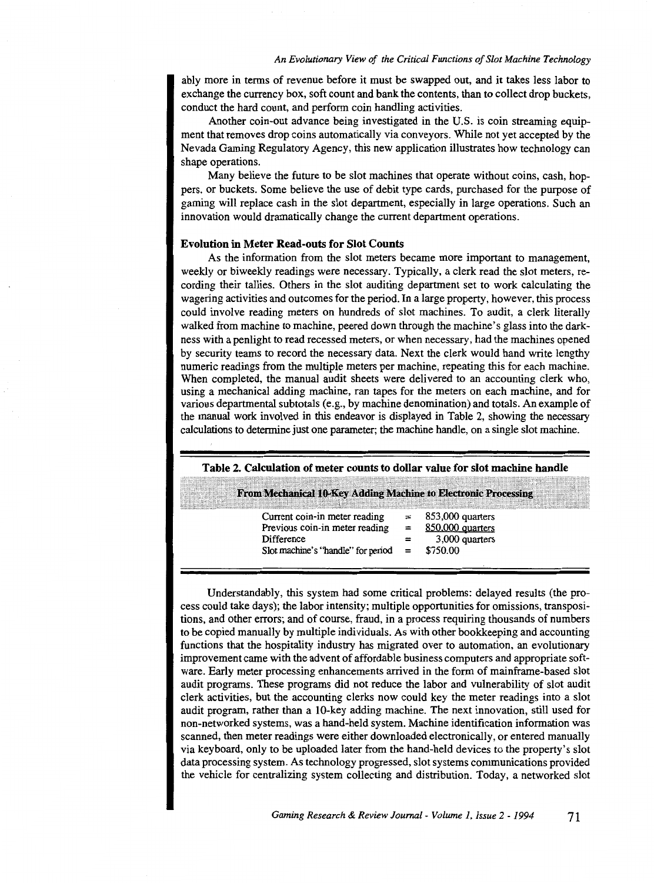ably more in terms of revenue before it must be swapped out, and it takes less labor to exchange the currency box, soft count and bank the contents, than to collect drop buckets, conduct the hard count, and perform coin handling activities.

Another coin-out advance being investigated in the U.S. is coin streaming equipment that removes drop coins automatically via conveyors. While not yet accepted by the Nevada Gaming Regulatory Agency, this new application illustrates how technology can shape operations.

Many believe the future to be slot machines that operate without coins, cash, hoppers, or buckets. Some believe the use of debit type cards, purchased for the purpose of gaming will replace cash in the slot department, especially in large operations. Such an innovation would dramatically change the current department operations.

#### **Evolution in Meter Read-outs for Slot Counts**

As the information from the slot meters became more important to management, weekly or biweekly readings were necessary. Typically, a clerk read the slot meters, recording their tallies. Others in the slot auditing department set to work calculating the wagering activities and outcomes for the period. In a large property, however, this process could involve reading meters on hundreds of slot machines. To audit, a clerk literally walked from machine to machine, peered down through the machine's glass into the darkness with a penlight to read recessed meters, or when necessary, had the machines opened by security teams to record the necessary data. Next the clerk would hand write lengthy numeric readings from the multiple meters per machine, repeating this for each machine. When completed, the manual audit sheets were delivered to an accounting clerk who, using a mechanical adding machine, ran tapes for the meters on each machine, and for various departmental subtotals (e.g., by machine denomination) and totals. An example of the manual work involved in this endeavor is displayed in Table 2, showing the necessary calculations to determine just one parameter; the machine handle, on a single slot machine.

#### **Table 2. Calculation of meter counts to dollar value for slot machine handle**

| From Mechanical 10-Key Adding Machine to Electronic Processing |                  |
|----------------------------------------------------------------|------------------|
|                                                                |                  |
| Current coin-in meter reading                                  | 853,000 quarters |
| Previous coin-in meter reading                                 | 850,000 quarters |
| Difference                                                     | 3,000 quarters   |
| Slot machine's "handle" for period                             | \$750.00         |
|                                                                |                  |

Understandably, this system had some critical problems: delayed results (the process could take days); the labor intensity; multiple opportunities for omissions, transpositions, and other errors; and of course, fraud, in a process requiring thousands of numbers to be copied manually by multiple individuals. As with other bookkeeping and accounting functions that the hospitality industry has migrated over to automation, an evolutionary improvement came with the advent of affordable business computers and appropriate software. Early meter processing enhancements arrived in the form of mainframe-based slot audit programs. These programs did not reduce the labor and vulnerability of slot audit clerk activities, but the accounting clerks now could key the meter readings into a slot audit program, rather than a 10-key adding machine. The next innovation, still used for non-networked systems, was a hand-held system. Machine identification information was scanned, then meter readings were either downloaded electronically, or entered manually via keyboard, only to be uploaded later from the hand-held devices to the property's slot data processing system. As technology progressed, slot systems communications provided the vehicle for centralizing system collecting and distribution. Today, a networked slot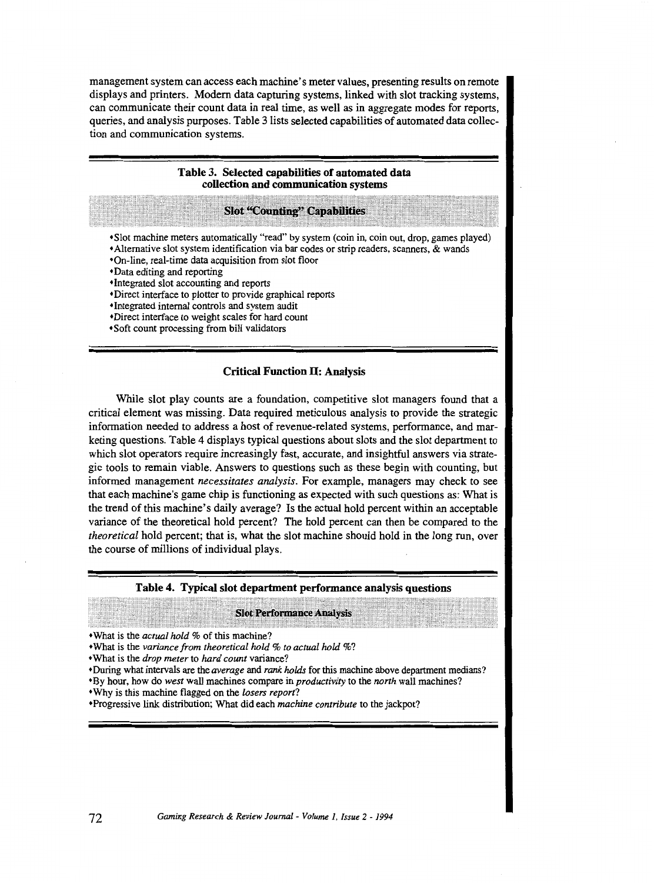management system can access each machine's meter values, presenting results on remote displays and printers. Modern data capturing systems, linked with slot tracking systems, can communicate their count data in real time, as well as in aggregate modes for reports, queries, and analysis purposes. Table 3 lists selected capabilities of automated data collection and communication systems.

|                                                                                                                                    | Table 3. Selected capabilities of automated data<br>collection and communication systems                                                                                                                                                                                                                                                                 |  |
|------------------------------------------------------------------------------------------------------------------------------------|----------------------------------------------------------------------------------------------------------------------------------------------------------------------------------------------------------------------------------------------------------------------------------------------------------------------------------------------------------|--|
|                                                                                                                                    | <b>Slot "Counting" Capabilities</b>                                                                                                                                                                                                                                                                                                                      |  |
| •Data editing and reporting<br>•Integrated internal controls and system audit<br>*Direct interface to weight scales for hard count | *Slot machine meters automatically "read" by system (coin in, coin out, drop, games played)<br>*Alternative slot system identification via bar codes or strip readers, scanners, & wands<br>*On-line, real-time data acquisition from slot floor<br>•Integrated slot accounting and reports<br>*Direct interface to plotter to provide graphical reports |  |

#### Critical Function IT: Analysis

While slot play counts are a foundation, competitive slot managers found that a critical element was missing. Data required meticulous analysis to provide the strategic information needed to address a host of revenue-related systems, performance, and marketing questions. Table 4 displays typical questions about slots and the slot department to which slot operators require increasingly fast, accurate, and insightful answers via strategic tools to remain viable. Answers to questions such as these begin with counting, but informed management *necessitates analysis.* For example, managers may check to see that each machine's game chip is functioning as expected with such questions as: What is the trend of this machine's daily average? Is the actual hold percent within an acceptable variance of the theoretical hold percent? The hold percent can then be compared to the *theoretical* hold percent; that is, what the slot machine should hold in the long run, over the course of millions of individual plays.

#### Table 4. Typical slot department performance analysis questions

#### **Slot Performance Analysis**

•What is the *actual hold%* of this machine?

•What is the *variance from theoretical hold% to actual hold%?* 

•What is the *drop meter* to *hard count* variance?

• During what intervals are the *average* and *rank holds* for this machine above department medians?

- •By hour, how do *west* wall machines compare in *productivity* to the *north* wall machines?
- •Why is this machine flagged on the *losers report?*

•Progressive link distribution; What did each *machine contribute* to the jackpot?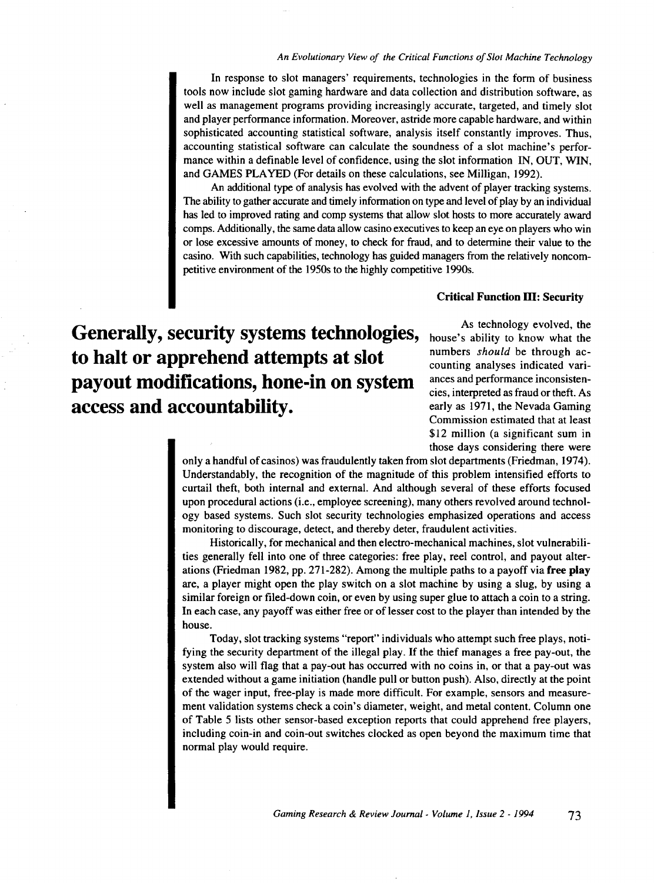In response to slot managers' requirements, technologies in the form of business tools now include slot gaming hardware and data collection and distribution software, as well as management programs providing increasingly accurate, targeted, and timely slot and player performance information. Moreover, astride more capable hardware, and within sophisticated accounting statistical software, analysis itself constantly improves. Thus, accounting statistical software can calculate the soundness of a slot machine's performance within a definable level of confidence, using the slot information IN, OUT, WIN, and GAMES PLAYED (For details on these calculations, see Milligan, 1992).

An additional type of analysis has evolved with the advent of player tracking systems. The ability to gather accurate and timely information on type and level of play by an individual has led to improved rating and comp systems that allow slot hosts to more accurately award comps. Additionally, the same data allow casino executives to keep an eye on players who win or lose excessive amounts of money, to check for fraud, and to determine their value to the casino. With such capabilities, technology has guided managers from the relatively noncompetitive environment of the 1950s to the highly competitive 1990s.

#### Critical Function ID: Security

**Generally, security systems technologies, to halt or apprehend attempts at slot payout modifications, hone-in on system access and accountability.** 

As technology evolved, the house's ability to know what the numbers *should* be through accounting analyses indicated variances and performance inconsistencies, interpreted as fraud or theft. As early as 1971, the Nevada Gaming Commission estimated that at least \$12 million (a significant sum in those days considering there were

only a handful of casinos) was fraudulently taken from slot departments (Friedman, 1974 ). Understandably, the recognition of the magnitude of this problem intensified efforts to curtail theft, both internal and external. And although several of these efforts focused upon procedural actions (i.e., employee screening), many others revolved around technology based systems. Such slot security technologies emphasized operations and access monitoring to discourage, detect, and thereby deter, fraudulent activities.

Historically, for mechanical and then electro-mechanical machines, slot vulnerabilities generally fell into one of three categories: free play, reel control, and payout alterations (Friedman 1982, pp. 271-282). Among the multiple paths to a payoff via free play are, a player might open the play switch on a slot machine by using a slug, by using a similar foreign or filed-down coin, or even by using super glue to attach a coin to a string. In each case, any payoff was either free or of lesser cost to the player than intended by the house.

Today, slot tracking systems "report" individuals who attempt such free plays, notifying the security department of the illegal play. If the thief manages a free pay-out, the system also will flag that a pay-out has occurred with no coins in, or that a pay-out was extended without a game initiation (handle pull or button push). Also, directly at the point of the wager input, free-play is made more difficult. For example, sensors and measurement validation systems check a coin's diameter, weight, and metal content. Column one of Table 5 lists other sensor-based exception reports that could apprehend free players, including coin-in and coin-out switches clocked as open beyond the maximum time that normal play would require.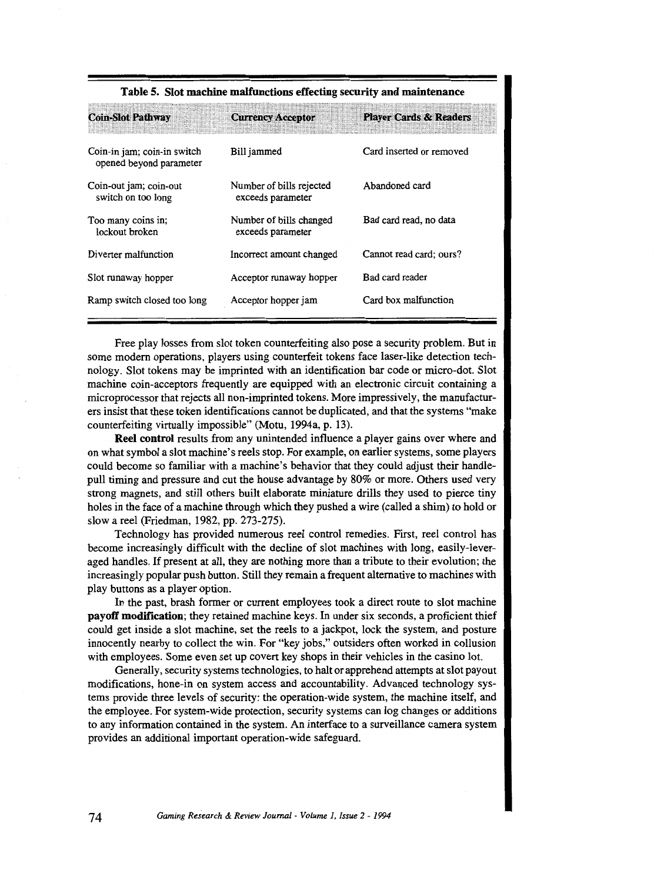| <b>Coin-Slot Pathway</b>                               | <b>Currency Acceptor</b>                      | <b>Player Cards &amp; Readers</b> |
|--------------------------------------------------------|-----------------------------------------------|-----------------------------------|
| Coin-in jam; coin-in switch<br>opened beyond parameter | Bill jammed                                   | Card inserted or removed          |
| Coin-out jam; coin-out<br>switch on too long           | Number of bills rejected<br>exceeds parameter | Abandoned card                    |
| Too many coins in;<br>lockout broken                   | Number of bills changed<br>exceeds parameter  | Bad card read, no data            |
| Diverter malfunction                                   | Incorrect amount changed                      | Cannot read card; ours?           |
| Slot runaway hopper                                    | Acceptor runaway hopper                       | Bad card reader                   |
| Ramp switch closed too long                            | Acceptor hopper jam                           | Card box malfunction              |

#### **Table 5. Slot machine malfunctions effecting security and maintenance**

Free play losses from slot token counterfeiting also pose a security problem. But in some modern operations, players using counterfeit tokens face laser-like detection technology. Slot tokens may be imprinted with an identification bar code or micro-dot. Slot machine coin-acceptors frequently are equipped with an electronic circuit containing a microprocessor that rejects all non-imprinted tokens. More impressively, the manufacturers insist that these token identifications cannot be duplicated, and that the systems "make counterfeiting virtually impossible" (Motu, 1994a, p. 13).

**Reel control** results from any unintended influence a player gains over where and on what symbol a slot machine's reels stop. For example, on earlier systems, some players could become so familiar with a machine's behavior that they could adjust their handlepull timing and pressure and cut the house advantage by 80% or more. Others used very strong magnets, and still others built elaborate miniature drills they used to pierce tiny holes in the face of a machine through which they pushed a wire (called a shim) to hold or slow a reel (Friedman, 1982, pp. 273-275).

Technology has provided numerous reel control remedies. First, reel control has become increasingly difficult with the decline of slot machines with long, easily-leveraged handles. If present at all, they are nothing more than a tribute to their evolution; the increasingly popular push button. Still they remain a frequent alternative to machines with play buttons as a player option.

In the past, brash former or current employees took a direct route to slot machine **payoff modification;** they retained machine keys. In under six seconds, a proficient thief could get inside a slot machine, set the reels to a jackpot, lock the system, and posture innocently nearby to collect the win. For "key jobs," outsiders often worked in collusion with employees. Some even set up covert key shops in their vehicles in the casino lot.

Generally, security systems technologies, to halt or apprehend attempts at slot payout modifications, hone-in on system access and accountability. Advanced technology systems provide three levels of security: the operation-wide system, the machine itself, and the employee. For system-wide protection, security systems can log changes or additions to any information contained in the system. An interface to a surveillance camera system provides an additional important operation-wide safeguard.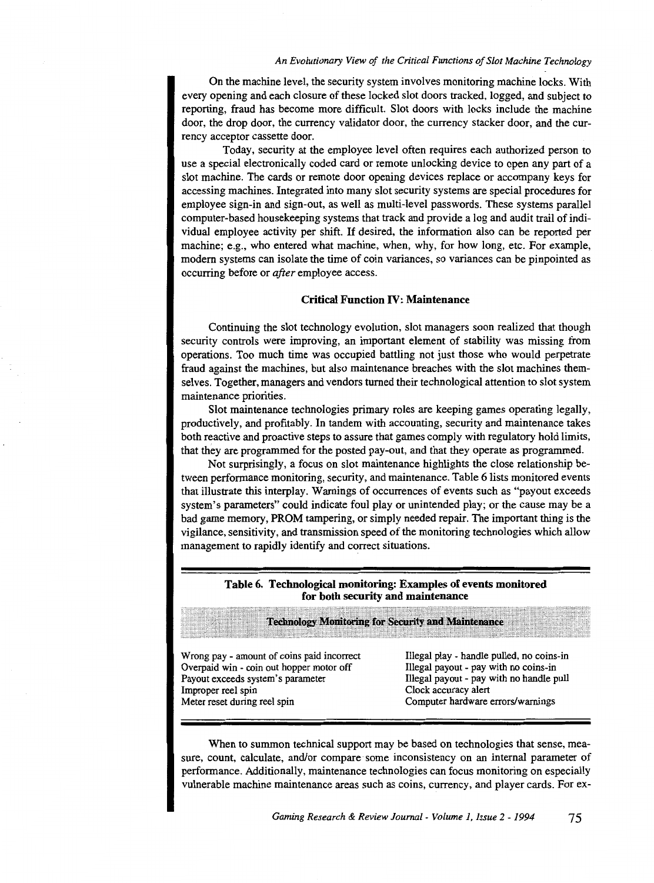On the machine level, the security system involves monitoring machine locks. With every opening and each closure of these locked slot doors tracked, logged, and subject to reporting, fraud has become more difficult. Slot doors with locks include the machine door, the drop door, the currency validator door, the currency stacker door, and the currency acceptor cassette door.

Today, security at the employee level often requires each authorized person to use a special electronically coded card or remote unlocking device to open any part of a slot machine. The cards or remote door opening devices replace or accompany keys for accessing machines. Integrated into many slot security systems are special procedures for employee sign-in and sign-out, as well as multi-level passwords. These systems parallel computer-based housekeeping systems that track and provide a log and audit trail of individual employee activity per shift. If desired, the information also can be reported per machine; e.g., who entered what machine, when, why, for how long, etc. For example, modem systems can isolate the time of coin variances, so variances can be pinpointed as occurring before or *after* employee access.

#### Critical Function IV: Maintenance

Continuing the slot technology evolution, slot managers soon realized that though security controls were improving, an important element of stability was missing from operations. Too much time was occupied battling not just those who would perpetrate fraud against the machines, but also maintenance breaches with the slot machines themselves. Together, managers and vendors turned their technological attention to slot system maintenance priorities.

Slot maintenance technologies primary roles are keeping games operating legally, productively, and profitably. In tandem with accounting, security and maintenance takes both reactive and proactive steps to assure that games comply with regulatory hold limits, that they are programmed for the posted pay-out, and that they operate as programmed.

Not surprisingly, a focus on slot maintenance highlights the close relationship between performance monitoring, security, and maintenance. Table 6lists monitored events that illustrate this interplay. Warnings of occurrences of events such as "payout exceeds system's parameters" could indicate foul play or unintended play; or the cause may be a bad game memory, PROM tampering, or simply needed repair. The important thing is the vigilance, sensitivity, and transmission speed of the monitoring technologies which allow management to rapidly identify and correct situations.

#### Table 6. Technological monitoring: Examples of events monitored for both security and maintenance

|                                            | <b>Technology Monitoring for Security and Maintenance</b> |
|--------------------------------------------|-----------------------------------------------------------|
| Wrong pay - amount of coins paid incorrect | Illegal play - handle pulled, no coins-in                 |
| Overpaid win - coin out hopper motor off   | Illegal payout - pay with no coins-in                     |
| Payout exceeds system's parameter          | Illegal payout - pay with no handle pull                  |
| Improper reel spin                         | Clock accuracy alert                                      |
| Meter reset during reel spin               | Computer hardware errors/warnings                         |

When to summon technical support may be based on technologies that sense, measure, count, calculate, and/or compare· some inconsistency on an internal parameter of performance. Additionally, maintenance technologies can focus monitoring on especially vulnerable machine maintenance areas such as coins, currency, and player cards. For ex-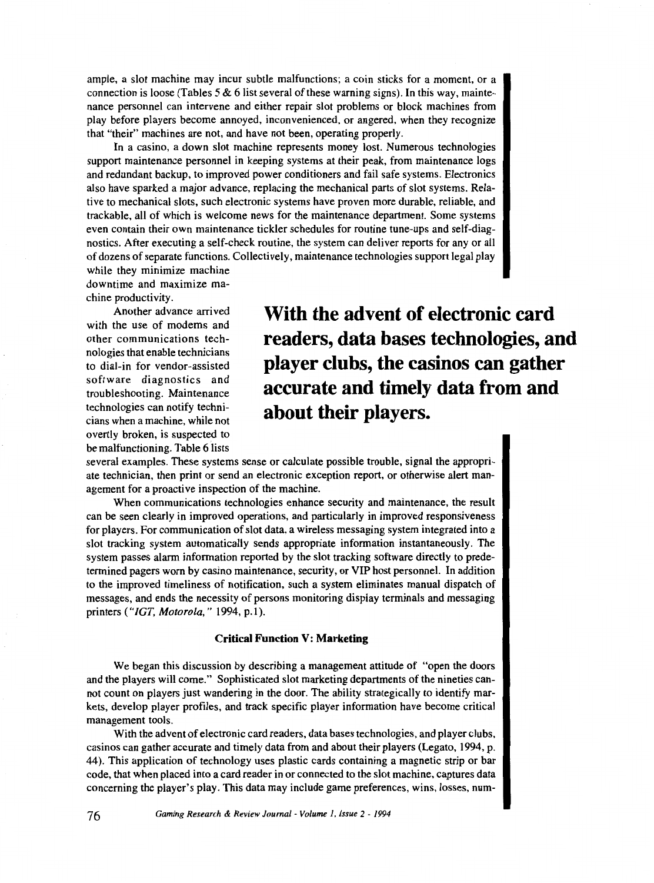ample, a slot machine may incur subtle malfunctions; a coin sticks for a moment, or a connection is loose (Tables 5  $\&$  6 list several of these warning signs). In this way, maintenance personnel can intervene and either repair slot problems or block machines from play before players become annoyed, inconvenienced, or angered, when they recognize that "their" machines are not, and have not been, operating properly.

In a casino, a down slot machine represents money lost. Numerous technologies support maintenance personnel in keeping systems at their peak, from maintenance logs and redundant backup, to improved power conditioners and fail safe systems. Electronics also have sparked a major advance, replacing the mechanical parts of slot systems. Relative to mechanical slots, such electronic systems have proven more durable, reliable, and trackable, all of which is welcome news for the maintenance department. Some systems even contain their own maintenance tickler schedules for routine tune-ups and self-diagnostics. After executing a self-check routine, the system can deliver reports for any or all of dozens of separate functions. Collectively, maintenance technologies support legal play

while they minimize machine downtime and maximize machine productivity.

Another advance arrived with the use of modems and other communications technologies that enable technicians to dial-in for vendor-assisted software diagnostics and troubleshooting. Maintenance technologies can notify technicians when a machine, while not overtly broken, is suspected to be malfunctioning. Table 6 lists

**With the advent of electronic card readers, data bases technologies, and player clubs, the casinos can gather accurate and timely data from and about their players.** 

several examples. These systems sense or calculate possible trouble, signal the appropriate technician, then print or send an electronic exception report, or otherwise alert management for a proactive inspection of the machine.

When communications technologies enhance security and maintenance, the result can be seen clearly in improved operations, and particularly in improved responsiveness for players. For communication of slot data, a wireless messaging system integrated into a slot tracking system automatically sends appropriate information instantaneously. The system passes alarm information reported by the slot tracking software directly to predetermined pagers worn by casino maintenance, security, or VIP host personnel. In addition to the improved timeliness of notification, such a system eliminates manual dispatch of messages, and ends the necessity of persons monitoring display terminals and messaging printers ("/GT, *Motorola,"* 1994, p.l).

#### **Critical Function V: Marketing**

We began this discussion by describing a management attitude of "open the doors and the players will come." Sophisticated slot marketing departments of the nineties cannot count on players just wandering in the door. The ability strategically to identify markets, develop player profiles, and track specific player information have become critical management tools.

With the advent of electronic card readers, data bases technologies, and player clubs, casinos can gather accurate and timely data from and about their players (Legato, 1994, p. 44). This application of technology uses plastic cards containing a magnetic strip or bar code, that when placed into a card reader in or connected to the slot machine, captures data concerning the player's play. This data may include game preferences, wins, losses, num-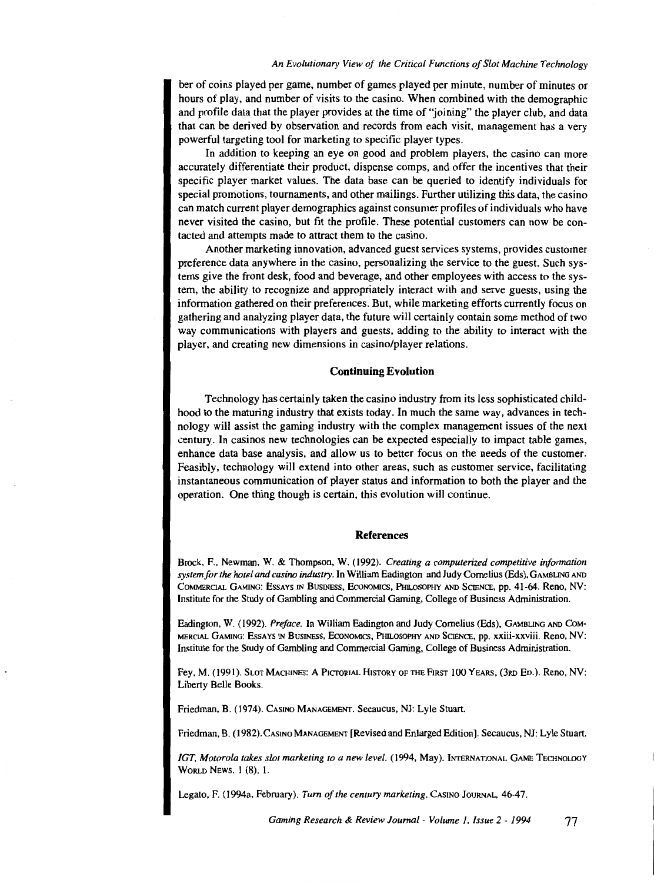ber of coins played per game, number of games played per minute, number of minutes or hours of play, and number of visits to the casino. When combined with the demographic and profile data that the player provides at the time of "joining" the player club, and data that can be derived by observation and records from each visit, management has a very powerful targeting tool for marketing to specific player types.

In addition to keeping an eye on good and problem players, the casino can more accurately differentiate their product, dispense comps, and offer the incentives that their specific player market values. The data base can be queried to identify individuals for special promotions, tournaments, and other mailings. Further utilizing this data, the casino can match current player demographics against consumer profiles of individuals who have never visited the casino, but fit the profile. These potential customers can now be contacted and attempts made to attract them to the casino.

Another marketing innovation, advanced guest services systems, provides customer preference data anywhere in the casino, personalizing the service to the guest. Such systems give the front desk, food and beverage, and other employees with access to the system, the ability to recognize and appropriately interact with and serve guests, using the information gathered on their preferences. But, while marketing efforts currently focus on gathering and analyzing player data, the future will certainly contain some method of two way communications with players and guests, adding to the ability to interact with the player, and creating new dimensions in casino/player relations.

#### **Continuing Evolution**

Technology has certainly taken the casino industry from its less sophisticated childhood to the maturing industry that exists today. In much the same way, advances in technology will assist the gaming industry with the complex management issues of the next century. In casinos new technologies can be expected especially to impact table games, enhance data base analysis, and allow us to better focus on the needs of the customer. Feasibly, technology will extend into other areas, such as customer service, facilitating instantaneous communication of player status and information to both the player and the operation. One thing though is certain, this evolution will continue.

#### **References**

Brock, F., Newman, W. & Thompson, W. (1992). *Creating a computerized competitive information system for the hotel and casino industry.* In William Eadington and Judy Cornelius (Eds), GAMBUNG AND CoMMERCIAL GAMING: EssAYS IN BusiNESS, EcoNoMics, PHu.osoPHY AND SCIENCE, pp. 41-64. Reno, NV: Institute for the Study of Gambling and Commercial Gaming, College of Business Administration.

Eadington, W. (1992). *Preface*. In William Eadington and Judy Cornelius (Eds), GAMBLING AND COM-MERCIAL GAMING: ESSAYS IN BUSINESS, EcoNOMICS, Pfm.OSOPHY AND SCIENCE, pp. xxiii-xxviii. Reno, NV: Institute for the Study of Gambling and Commercial Gaming, College of Business Administration.

Fey, M. (1991). SLOT MACHINES: A PICTORIAL HISTORY OF THE FIRST 100 YEARS, (3RD Eo.). Reno, NV: Liberty Belle Books.

Friedman, B. (1974). CASINO MANAGEMENT. Secaucus, NJ: Lyle Stuart.

Friedman, B. ( 1982). CASINO MANAGEMENT [Revised and Enlarged Edition]. Secaucus, NJ: Lyle Stuart.

IGT, Motorola takes slot marketing to a new level. (1994, May). INTERNATIONAL GAME TECHNOLOGY WoRLD NEws. I (8), l.

Legato, F. (l994a, February). *Tum of the century marketing.* CASINO JouRNAL, 46-47.